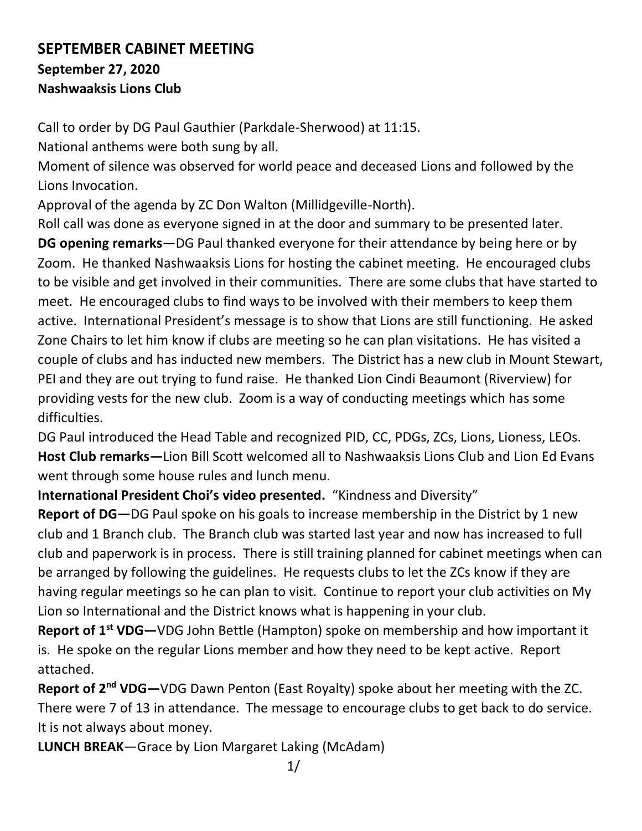## **SEPTEMBER CABINET MEETING September 27, 2020 Nashwaaksis Lions Club**

Call to order by DG Paul Gauthier (Parkdale-Sherwood) at 11:15.

National anthems were both sung by all.

Moment of silence was observed for world peace and deceased Lions and followed by the Lions Invocation.

Approval of the agenda by ZC Don Walton (Millidgeville-North).

Roll call was done as everyone signed in at the door and summary to be presented later. **DG opening remarks**—DG Paul thanked everyone for their attendance by being here or by Zoom. He thanked Nashwaaksis Lions for hosting the cabinet meeting. He encouraged clubs to be visible and get involved in their communities. There are some clubs that have started to meet. He encouraged clubs to find ways to be involved with their members to keep them active. International President's message is to show that Lions are still functioning. He asked Zone Chairs to let him know if clubs are meeting so he can plan visitations. He has visited a couple of clubs and has inducted new members. The District has a new club in Mount Stewart, PEI and they are out trying to fund raise. He thanked Lion Cindi Beaumont (Riverview) for providing vests for the new club. Zoom is a way of conducting meetings which has some difficulties.

DG Paul introduced the Head Table and recognized PID, CC, PDGs, ZCs, Lions, Lioness, LEOs. **Host Club remarks—**Lion Bill Scott welcomed all to Nashwaaksis Lions Club and Lion Ed Evans went through some house rules and lunch menu.

**International President Choi's video presented.** "Kindness and Diversity"

**Report of DG—**DG Paul spoke on his goals to increase membership in the District by 1 new club and 1 Branch club. The Branch club was started last year and now has increased to full club and paperwork is in process. There is still training planned for cabinet meetings when can be arranged by following the guidelines. He requests clubs to let the ZCs know if they are having regular meetings so he can plan to visit. Continue to report your club activities on My Lion so International and the District knows what is happening in your club.

**Report of 1st VDG—**VDG John Bettle (Hampton) spoke on membership and how important it is. He spoke on the regular Lions member and how they need to be kept active. Report attached.

**Report of 2nd VDG—**VDG Dawn Penton (East Royalty) spoke about her meeting with the ZC. There were 7 of 13 in attendance. The message to encourage clubs to get back to do service. It is not always about money.

**LUNCH BREAK**—Grace by Lion Margaret Laking (McAdam)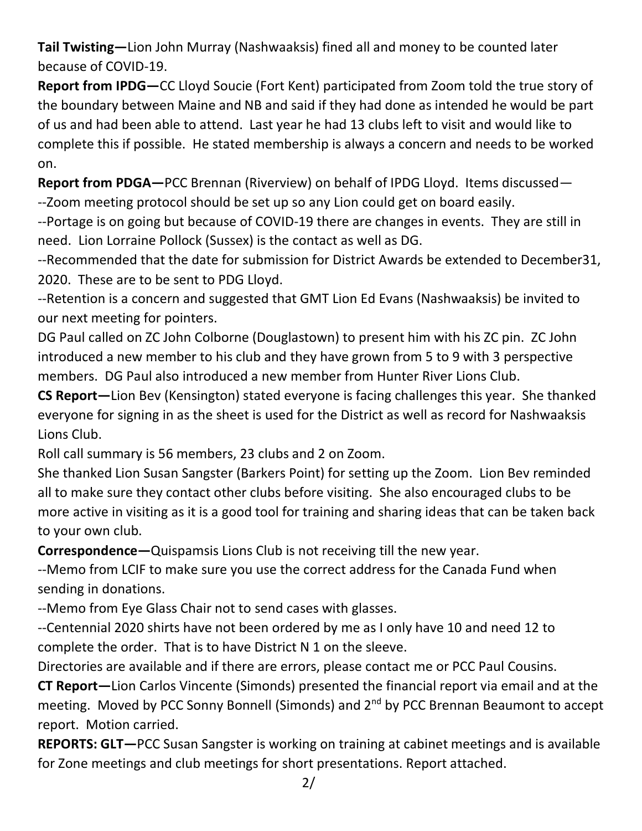**Tail Twisting—**Lion John Murray (Nashwaaksis) fined all and money to be counted later because of COVID-19.

**Report from IPDG—**CC Lloyd Soucie (Fort Kent) participated from Zoom told the true story of the boundary between Maine and NB and said if they had done as intended he would be part of us and had been able to attend. Last year he had 13 clubs left to visit and would like to complete this if possible. He stated membership is always a concern and needs to be worked on.

**Report from PDGA—**PCC Brennan (Riverview) on behalf of IPDG Lloyd. Items discussed— --Zoom meeting protocol should be set up so any Lion could get on board easily.

--Portage is on going but because of COVID-19 there are changes in events. They are still in need. Lion Lorraine Pollock (Sussex) is the contact as well as DG.

--Recommended that the date for submission for District Awards be extended to December31, 2020. These are to be sent to PDG Lloyd.

--Retention is a concern and suggested that GMT Lion Ed Evans (Nashwaaksis) be invited to our next meeting for pointers.

DG Paul called on ZC John Colborne (Douglastown) to present him with his ZC pin. ZC John introduced a new member to his club and they have grown from 5 to 9 with 3 perspective members. DG Paul also introduced a new member from Hunter River Lions Club.

**CS Report—**Lion Bev (Kensington) stated everyone is facing challenges this year. She thanked everyone for signing in as the sheet is used for the District as well as record for Nashwaaksis Lions Club.

Roll call summary is 56 members, 23 clubs and 2 on Zoom.

She thanked Lion Susan Sangster (Barkers Point) for setting up the Zoom. Lion Bev reminded all to make sure they contact other clubs before visiting. She also encouraged clubs to be more active in visiting as it is a good tool for training and sharing ideas that can be taken back to your own club.

**Correspondence—**Quispamsis Lions Club is not receiving till the new year.

--Memo from LCIF to make sure you use the correct address for the Canada Fund when sending in donations.

--Memo from Eye Glass Chair not to send cases with glasses.

--Centennial 2020 shirts have not been ordered by me as I only have 10 and need 12 to complete the order. That is to have District N 1 on the sleeve.

Directories are available and if there are errors, please contact me or PCC Paul Cousins.

**CT Report—**Lion Carlos Vincente (Simonds) presented the financial report via email and at the meeting. Moved by PCC Sonny Bonnell (Simonds) and 2<sup>nd</sup> by PCC Brennan Beaumont to accept report. Motion carried.

**REPORTS: GLT—**PCC Susan Sangster is working on training at cabinet meetings and is available for Zone meetings and club meetings for short presentations. Report attached.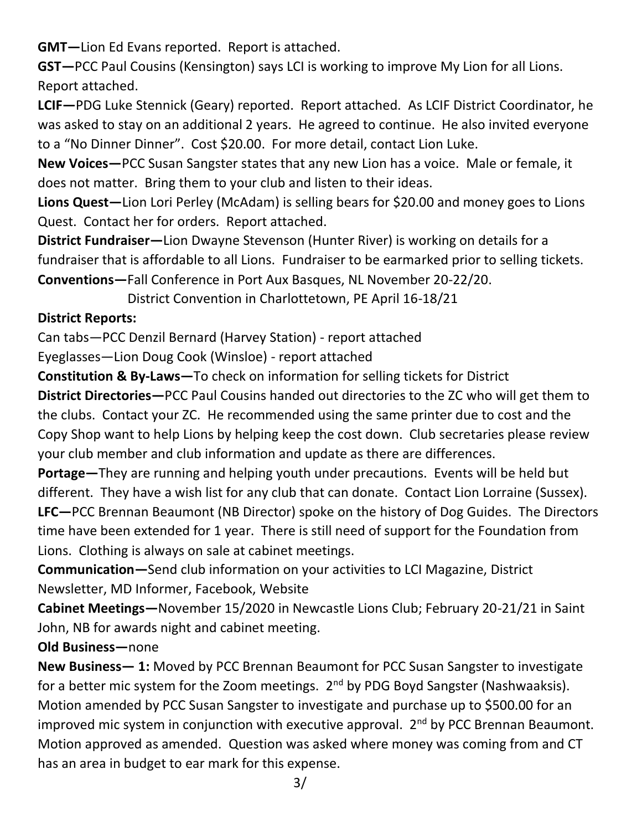**GMT—**Lion Ed Evans reported. Report is attached.

**GST—**PCC Paul Cousins (Kensington) says LCI is working to improve My Lion for all Lions. Report attached.

**LCIF—**PDG Luke Stennick (Geary) reported. Report attached. As LCIF District Coordinator, he was asked to stay on an additional 2 years. He agreed to continue. He also invited everyone to a "No Dinner Dinner". Cost \$20.00. For more detail, contact Lion Luke.

**New Voices—**PCC Susan Sangster states that any new Lion has a voice. Male or female, it does not matter. Bring them to your club and listen to their ideas.

**Lions Quest—**Lion Lori Perley (McAdam) is selling bears for \$20.00 and money goes to Lions Quest. Contact her for orders. Report attached.

**District Fundraiser—**Lion Dwayne Stevenson (Hunter River) is working on details for a fundraiser that is affordable to all Lions. Fundraiser to be earmarked prior to selling tickets. **Conventions—**Fall Conference in Port Aux Basques, NL November 20-22/20.

District Convention in Charlottetown, PE April 16-18/21

## **District Reports:**

Can tabs—PCC Denzil Bernard (Harvey Station) - report attached

Eyeglasses—Lion Doug Cook (Winsloe) - report attached

**Constitution & By-Laws—**To check on information for selling tickets for District

**District Directories—**PCC Paul Cousins handed out directories to the ZC who will get them to the clubs. Contact your ZC. He recommended using the same printer due to cost and the Copy Shop want to help Lions by helping keep the cost down. Club secretaries please review your club member and club information and update as there are differences.

**Portage—**They are running and helping youth under precautions. Events will be held but different. They have a wish list for any club that can donate. Contact Lion Lorraine (Sussex). **LFC—**PCC Brennan Beaumont (NB Director) spoke on the history of Dog Guides. The Directors time have been extended for 1 year. There is still need of support for the Foundation from Lions. Clothing is always on sale at cabinet meetings.

**Communication—**Send club information on your activities to LCI Magazine, District Newsletter, MD Informer, Facebook, Website

**Cabinet Meetings—**November 15/2020 in Newcastle Lions Club; February 20-21/21 in Saint John, NB for awards night and cabinet meeting.

## **Old Business—**none

**New Business— 1:** Moved by PCC Brennan Beaumont for PCC Susan Sangster to investigate for a better mic system for the Zoom meetings.  $2<sup>nd</sup>$  by PDG Boyd Sangster (Nashwaaksis). Motion amended by PCC Susan Sangster to investigate and purchase up to \$500.00 for an improved mic system in conjunction with executive approval.  $2<sup>nd</sup>$  by PCC Brennan Beaumont. Motion approved as amended. Question was asked where money was coming from and CT has an area in budget to ear mark for this expense.